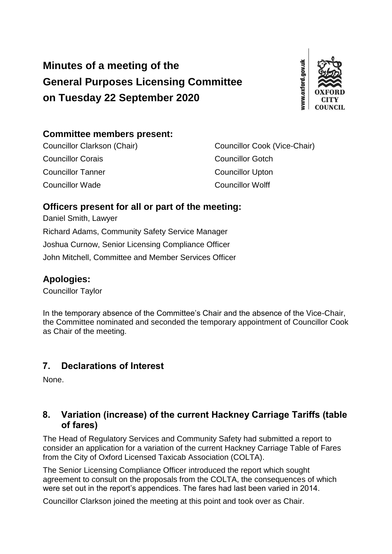# **Minutes of a meeting of the General Purposes Licensing Committee on Tuesday 22 September 2020**



# **Committee members present:**

Councillor Corais Councillor Gotch **Councillor Tanner** Councillor Upton Councillor Wade Councillor Wolff

Councillor Clarkson (Chair) Councillor Cook (Vice-Chair)

## **Officers present for all or part of the meeting:**

Daniel Smith, Lawyer Richard Adams, Community Safety Service Manager Joshua Curnow, Senior Licensing Compliance Officer John Mitchell, Committee and Member Services Officer

## **Apologies:**

Councillor Taylor

In the temporary absence of the Committee's Chair and the absence of the Vice-Chair, the Committee nominated and seconded the temporary appointment of Councillor Cook as Chair of the meeting.

# **7. Declarations of Interest**

None.

#### **8. Variation (increase) of the current Hackney Carriage Tariffs (table of fares)**

The Head of Regulatory Services and Community Safety had submitted a report to consider an application for a variation of the current Hackney Carriage Table of Fares from the City of Oxford Licensed Taxicab Association (COLTA).

The Senior Licensing Compliance Officer introduced the report which sought agreement to consult on the proposals from the COLTA, the consequences of which were set out in the report's appendices. The fares had last been varied in 2014.

Councillor Clarkson joined the meeting at this point and took over as Chair.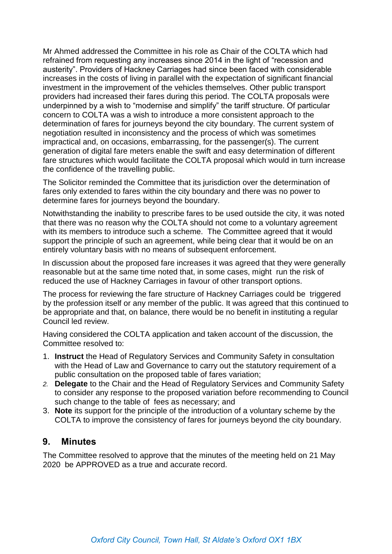Mr Ahmed addressed the Committee in his role as Chair of the COLTA which had refrained from requesting any increases since 2014 in the light of "recession and austerity". Providers of Hackney Carriages had since been faced with considerable increases in the costs of living in parallel with the expectation of significant financial investment in the improvement of the vehicles themselves. Other public transport providers had increased their fares during this period. The COLTA proposals were underpinned by a wish to "modernise and simplify" the tariff structure. Of particular concern to COLTA was a wish to introduce a more consistent approach to the determination of fares for journeys beyond the city boundary. The current system of negotiation resulted in inconsistency and the process of which was sometimes impractical and, on occasions, embarrassing, for the passenger(s). The current generation of digital fare meters enable the swift and easy determination of different fare structures which would facilitate the COLTA proposal which would in turn increase the confidence of the travelling public.

The Solicitor reminded the Committee that its jurisdiction over the determination of fares only extended to fares within the city boundary and there was no power to determine fares for journeys beyond the boundary.

Notwithstanding the inability to prescribe fares to be used outside the city, it was noted that there was no reason why the COLTA should not come to a voluntary agreement with its members to introduce such a scheme. The Committee agreed that it would support the principle of such an agreement, while being clear that it would be on an entirely voluntary basis with no means of subsequent enforcement.

In discussion about the proposed fare increases it was agreed that they were generally reasonable but at the same time noted that, in some cases, might run the risk of reduced the use of Hackney Carriages in favour of other transport options.

The process for reviewing the fare structure of Hackney Carriages could be triggered by the profession itself or any member of the public. It was agreed that this continued to be appropriate and that, on balance, there would be no benefit in instituting a regular Council led review.

Having considered the COLTA application and taken account of the discussion, the Committee resolved to:

- 1. **Instruct** the Head of Regulatory Services and Community Safety in consultation with the Head of Law and Governance to carry out the statutory requirement of a public consultation on the proposed table of fares variation;
- *2.* **Delegate** to the Chair and the Head of Regulatory Services and Community Safety to consider any response to the proposed variation before recommending to Council such change to the table of fees as necessary; and
- 3. **Note** its support for the principle of the introduction of a voluntary scheme by the COLTA to improve the consistency of fares for journeys beyond the city boundary.

#### **9. Minutes**

The Committee resolved to approve that the minutes of the meeting held on 21 May 2020 be APPROVED as a true and accurate record.